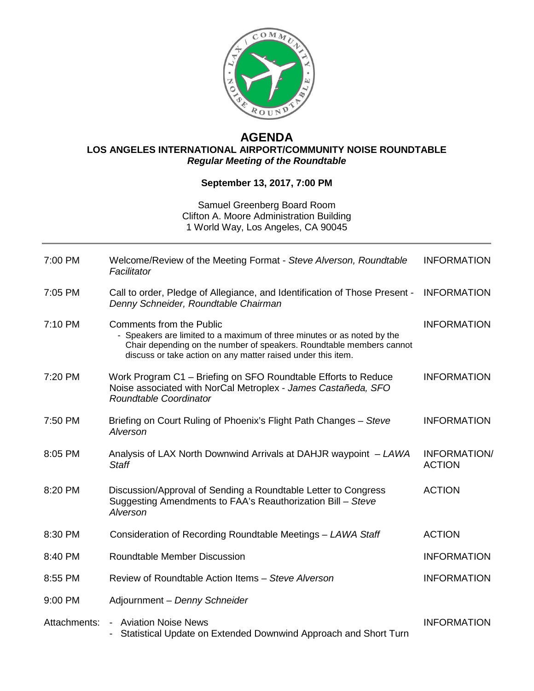

## **AGENDA LOS ANGELES INTERNATIONAL AIRPORT/COMMUNITY NOISE ROUNDTABLE** *Regular Meeting of the Roundtable*

## **September 13, 2017, 7:00 PM**

## Samuel Greenberg Board Room Clifton A. Moore Administration Building 1 World Way, Los Angeles, CA 90045

| 7:00 PM      | Welcome/Review of the Meeting Format - Steve Alverson, Roundtable<br>Facilitator                                                                                                                                                                   | <b>INFORMATION</b>                   |
|--------------|----------------------------------------------------------------------------------------------------------------------------------------------------------------------------------------------------------------------------------------------------|--------------------------------------|
| 7:05 PM      | Call to order, Pledge of Allegiance, and Identification of Those Present -<br>Denny Schneider, Roundtable Chairman                                                                                                                                 | <b>INFORMATION</b>                   |
| 7:10 PM      | <b>Comments from the Public</b><br>- Speakers are limited to a maximum of three minutes or as noted by the<br>Chair depending on the number of speakers. Roundtable members cannot<br>discuss or take action on any matter raised under this item. | <b>INFORMATION</b>                   |
| 7:20 PM      | Work Program C1 - Briefing on SFO Roundtable Efforts to Reduce<br>Noise associated with NorCal Metroplex - James Castañeda, SFO<br>Roundtable Coordinator                                                                                          | <b>INFORMATION</b>                   |
| 7:50 PM      | Briefing on Court Ruling of Phoenix's Flight Path Changes - Steve<br>Alverson                                                                                                                                                                      | <b>INFORMATION</b>                   |
| 8:05 PM      | Analysis of LAX North Downwind Arrivals at DAHJR waypoint - LAWA<br>Staff                                                                                                                                                                          | <b>INFORMATION/</b><br><b>ACTION</b> |
| 8:20 PM      | Discussion/Approval of Sending a Roundtable Letter to Congress<br>Suggesting Amendments to FAA's Reauthorization Bill - Steve<br>Alverson                                                                                                          | <b>ACTION</b>                        |
| 8:30 PM      | Consideration of Recording Roundtable Meetings - LAWA Staff                                                                                                                                                                                        | <b>ACTION</b>                        |
| 8:40 PM      | <b>Roundtable Member Discussion</b>                                                                                                                                                                                                                | <b>INFORMATION</b>                   |
| 8:55 PM      | Review of Roundtable Action Items - Steve Alverson                                                                                                                                                                                                 | <b>INFORMATION</b>                   |
| 9:00 PM      | Adjournment - Denny Schneider                                                                                                                                                                                                                      |                                      |
| Attachments: | <b>Aviation Noise News</b><br>Statistical Update on Extended Downwind Approach and Short Turn                                                                                                                                                      | <b>INFORMATION</b>                   |